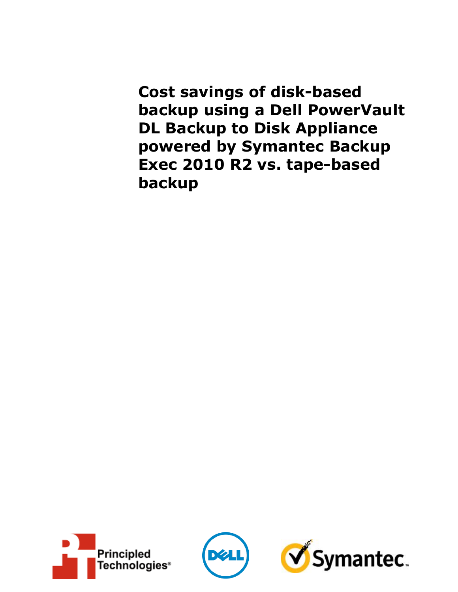**Cost savings of disk-based backup using a Dell PowerVault DL Backup to Disk Appliance powered by Symantec Backup Exec 2010 R2 vs. tape-based backup**





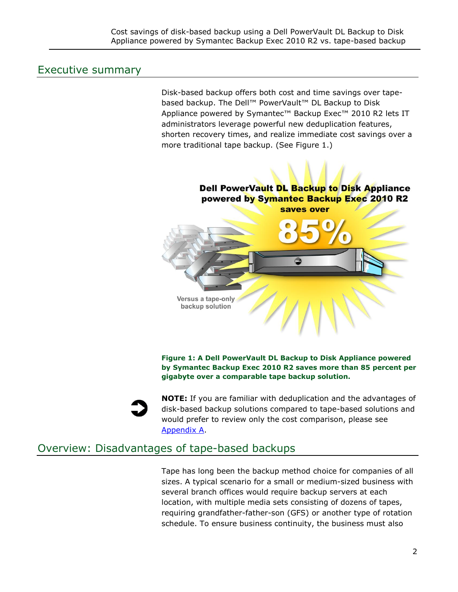### Executive summary

Disk-based backup offers both cost and time savings over tapebased backup. The Dell™ PowerVault™ DL Backup to Disk Appliance powered by Symantec™ Backup Exec™ 2010 R2 lets IT administrators leverage powerful new deduplication features, shorten recovery times, and realize immediate cost savings over a more traditional tape backup. (See Figure 1.)



**Figure 1: A Dell PowerVault DL Backup to Disk Appliance powered by Symantec Backup Exec 2010 R2 saves more than 85 percent per gigabyte over a comparable tape backup solution.**



**NOTE:** If you are familiar with deduplication and the advantages of disk-based backup solutions compared to tape-based solutions and would prefer to review only the cost comparison, please see [Appendix A.](#page-8-0)

## Overview: Disadvantages of tape-based backups

Tape has long been the backup method choice for companies of all sizes. A typical scenario for a small or medium-sized business with several branch offices would require backup servers at each location, with multiple media sets consisting of dozens of tapes, requiring grandfather-father-son (GFS) or another type of rotation schedule. To ensure business continuity, the business must also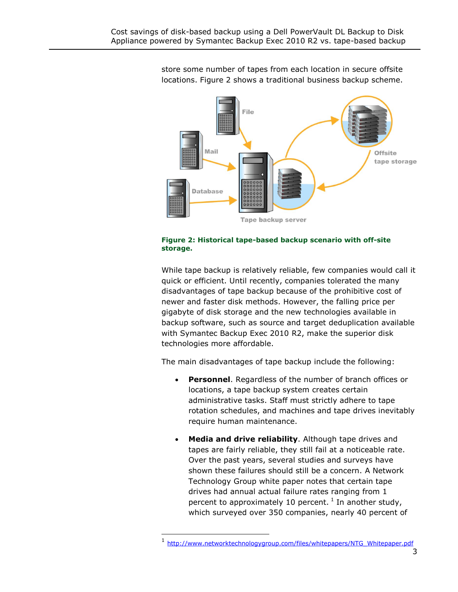

store some number of tapes from each location in secure offsite locations. Figure 2 shows a traditional business backup scheme.



While tape backup is relatively reliable, few companies would call it quick or efficient. Until recently, companies tolerated the many disadvantages of tape backup because of the prohibitive cost of newer and faster disk methods. However, the falling price per gigabyte of disk storage and the new technologies available in backup software, such as source and target deduplication available with Symantec Backup Exec 2010 R2, make the superior disk technologies more affordable.

The main disadvantages of tape backup include the following:

- **Personnel**. Regardless of the number of branch offices or locations, a tape backup system creates certain administrative tasks. Staff must strictly adhere to tape rotation schedules, and machines and tape drives inevitably require human maintenance.
- **Media and drive reliability**. Although tape drives and tapes are fairly reliable, they still fail at a noticeable rate. Over the past years, several studies and surveys have shown these failures should still be a concern. A Network Technology Group white paper notes that certain tape drives had annual actual failure rates ranging from 1 percent to approximately 10 percent.  $^1$  In another study, which surveyed over 350 companies, nearly 40 percent of

-

<sup>1</sup> [http://www.networktechnologygroup.com/files/whitepapers/NTG\\_Whitepaper.pdf](http://www.networktechnologygroup.com/files/whitepapers/NTG_Whitepaper.pdf)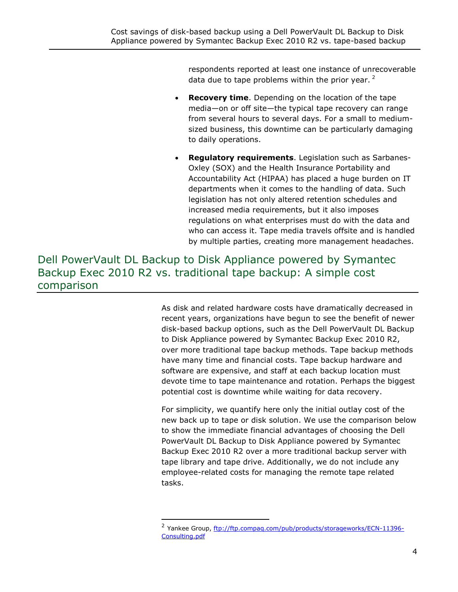respondents reported at least one instance of unrecoverable data due to tape problems within the prior year.  $2^2$ 

- **Recovery time**. Depending on the location of the tape media—on or off site—the typical tape recovery can range from several hours to several days. For a small to mediumsized business, this downtime can be particularly damaging to daily operations.
- **Regulatory requirements**. Legislation such as Sarbanes-Oxley (SOX) and the Health Insurance Portability and Accountability Act (HIPAA) has placed a huge burden on IT departments when it comes to the handling of data. Such legislation has not only altered retention schedules and increased media requirements, but it also imposes regulations on what enterprises must do with the data and who can access it. Tape media travels offsite and is handled by multiple parties, creating more management headaches.

## Dell PowerVault DL Backup to Disk Appliance powered by Symantec Backup Exec 2010 R2 vs. traditional tape backup: A simple cost comparison

As disk and related hardware costs have dramatically decreased in recent years, organizations have begun to see the benefit of newer disk-based backup options, such as the Dell PowerVault DL Backup to Disk Appliance powered by Symantec Backup Exec 2010 R2, over more traditional tape backup methods. Tape backup methods have many time and financial costs. Tape backup hardware and software are expensive, and staff at each backup location must devote time to tape maintenance and rotation. Perhaps the biggest potential cost is downtime while waiting for data recovery.

For simplicity, we quantify here only the initial outlay cost of the new back up to tape or disk solution. We use the comparison below to show the immediate financial advantages of choosing the Dell PowerVault DL Backup to Disk Appliance powered by Symantec Backup Exec 2010 R2 over a more traditional backup server with tape library and tape drive. Additionally, we do not include any employee-related costs for managing the remote tape related tasks.

<sup>&</sup>lt;sup>2</sup> Yankee Group, [ftp://ftp.compaq.com/pub/products/storageworks/ECN-11396-](ftp://ftp.compaq.com/pub/products/storageworks/ECN-11396-Consulting.pdf) [Consulting.pdf](ftp://ftp.compaq.com/pub/products/storageworks/ECN-11396-Consulting.pdf)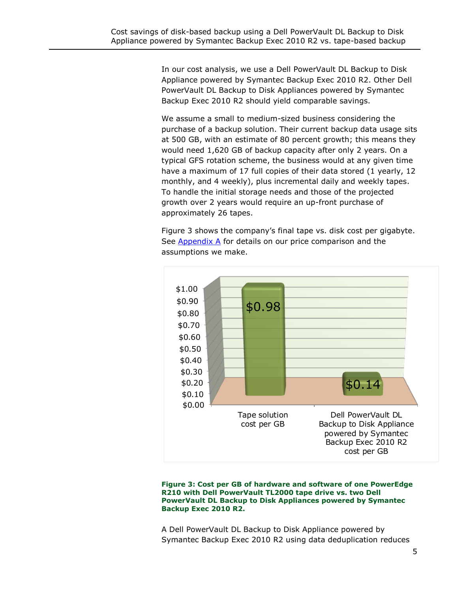In our cost analysis, we use a Dell PowerVault DL Backup to Disk Appliance powered by Symantec Backup Exec 2010 R2. Other Dell PowerVault DL Backup to Disk Appliances powered by Symantec Backup Exec 2010 R2 should yield comparable savings.

We assume a small to medium-sized business considering the purchase of a backup solution. Their current backup data usage sits at 500 GB, with an estimate of 80 percent growth; this means they would need 1,620 GB of backup capacity after only 2 years. On a typical GFS rotation scheme, the business would at any given time have a maximum of 17 full copies of their data stored (1 yearly, 12 monthly, and 4 weekly), plus incremental daily and weekly tapes. To handle the initial storage needs and those of the projected growth over 2 years would require an up-front purchase of approximately 26 tapes.

Figure 3 shows the company's final tape vs. disk cost per gigabyte. See Appendix  $\overline{A}$  for details on our price comparison and the assumptions we make.



**Figure 3: Cost per GB of hardware and software of one PowerEdge R210 with Dell PowerVault TL2000 tape drive vs. two Dell PowerVault DL Backup to Disk Appliances powered by Symantec Backup Exec 2010 R2.**

A Dell PowerVault DL Backup to Disk Appliance powered by Symantec Backup Exec 2010 R2 using data deduplication reduces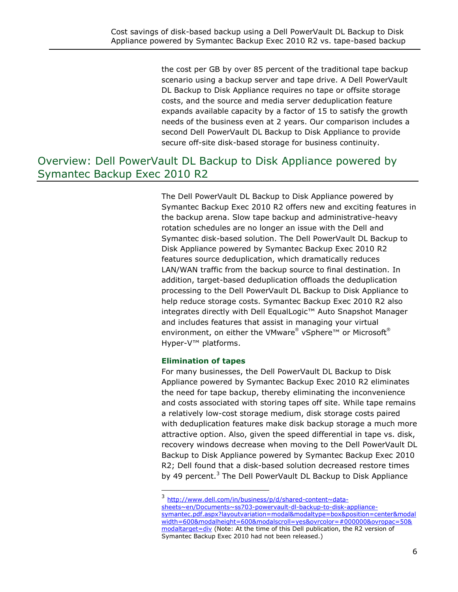the cost per GB by over 85 percent of the traditional tape backup scenario using a backup server and tape drive. A Dell PowerVault DL Backup to Disk Appliance requires no tape or offsite storage costs, and the source and media server deduplication feature expands available capacity by a factor of 15 to satisfy the growth needs of the business even at 2 years. Our comparison includes a second Dell PowerVault DL Backup to Disk Appliance to provide secure off-site disk-based storage for business continuity.

## Overview: Dell PowerVault DL Backup to Disk Appliance powered by Symantec Backup Exec 2010 R2

The Dell PowerVault DL Backup to Disk Appliance powered by Symantec Backup Exec 2010 R2 offers new and exciting features in the backup arena. Slow tape backup and administrative-heavy rotation schedules are no longer an issue with the Dell and Symantec disk-based solution. The Dell PowerVault DL Backup to Disk Appliance powered by Symantec Backup Exec 2010 R2 features source deduplication, which dramatically reduces LAN/WAN traffic from the backup source to final destination. In addition, target-based deduplication offloads the deduplication processing to the Dell PowerVault DL Backup to Disk Appliance to help reduce storage costs. Symantec Backup Exec 2010 R2 also integrates directly with Dell EqualLogic™ Auto Snapshot Manager and includes features that assist in managing your virtual environment, on either the VMware® vSphere™ or Microsoft® Hyper-V™ platforms.

#### **Elimination of tapes**

For many businesses, the Dell PowerVault DL Backup to Disk Appliance powered by Symantec Backup Exec 2010 R2 eliminates the need for tape backup, thereby eliminating the inconvenience and costs associated with storing tapes off site. While tape remains a relatively low-cost storage medium, disk storage costs paired with deduplication features make disk backup storage a much more attractive option. Also, given the speed differential in tape vs. disk, recovery windows decrease when moving to the Dell PowerVault DL Backup to Disk Appliance powered by Symantec Backup Exec 2010 R2; Dell found that a disk-based solution decreased restore times by 49 percent.<sup>3</sup> The Dell PowerVault DL Backup to Disk Appliance

<sup>3</sup> [http://www.dell.com/in/business/p/d/shared-content~data](http://www.dell.com/in/business/p/d/shared-content~data-sheets~en/Documents~ss703-powervault-dl-backup-to-disk-appliance-symantec.pdf.aspx?layoutvariation=modal&modaltype=box&position=center&modalwidth=600&modalheight=600&modalscroll=yes&ovrcolor=#000000&ovropac=50&modaltarget=div)[sheets~en/Documents~ss703-powervault-dl-backup-to-disk-appliance](http://www.dell.com/in/business/p/d/shared-content~data-sheets~en/Documents~ss703-powervault-dl-backup-to-disk-appliance-symantec.pdf.aspx?layoutvariation=modal&modaltype=box&position=center&modalwidth=600&modalheight=600&modalscroll=yes&ovrcolor=#000000&ovropac=50&modaltarget=div)[symantec.pdf.aspx?layoutvariation=modal&modaltype=box&position=center&modal](http://www.dell.com/in/business/p/d/shared-content~data-sheets~en/Documents~ss703-powervault-dl-backup-to-disk-appliance-symantec.pdf.aspx?layoutvariation=modal&modaltype=box&position=center&modalwidth=600&modalheight=600&modalscroll=yes&ovrcolor=#000000&ovropac=50&modaltarget=div) [width=600&modalheight=600&modalscroll=yes&ovrcolor=#000000&ovropac=50&](http://www.dell.com/in/business/p/d/shared-content~data-sheets~en/Documents~ss703-powervault-dl-backup-to-disk-appliance-symantec.pdf.aspx?layoutvariation=modal&modaltype=box&position=center&modalwidth=600&modalheight=600&modalscroll=yes&ovrcolor=#000000&ovropac=50&modaltarget=div) [modaltarget=div](http://www.dell.com/in/business/p/d/shared-content~data-sheets~en/Documents~ss703-powervault-dl-backup-to-disk-appliance-symantec.pdf.aspx?layoutvariation=modal&modaltype=box&position=center&modalwidth=600&modalheight=600&modalscroll=yes&ovrcolor=#000000&ovropac=50&modaltarget=div) (Note: At the time of this Dell publication, the R2 version of Symantec Backup Exec 2010 had not been released.)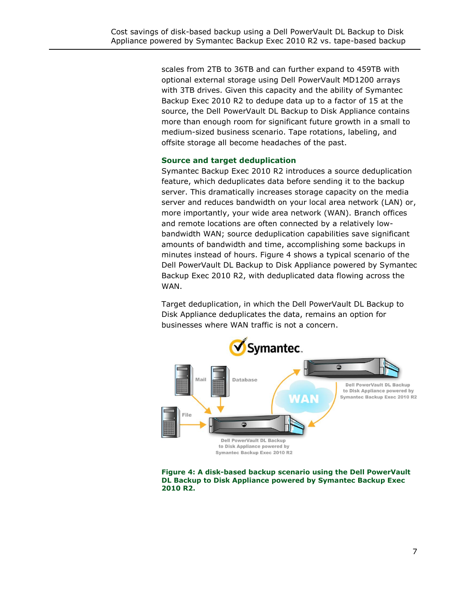scales from 2TB to 36TB and can further expand to 459TB with optional external storage using Dell PowerVault MD1200 arrays with 3TB drives. Given this capacity and the ability of Symantec Backup Exec 2010 R2 to dedupe data up to a factor of 15 at the source, the Dell PowerVault DL Backup to Disk Appliance contains more than enough room for significant future growth in a small to medium-sized business scenario. Tape rotations, labeling, and offsite storage all become headaches of the past.

#### **Source and target deduplication**

Symantec Backup Exec 2010 R2 introduces a source deduplication feature, which deduplicates data before sending it to the backup server. This dramatically increases storage capacity on the media server and reduces bandwidth on your local area network (LAN) or, more importantly, your wide area network (WAN). Branch offices and remote locations are often connected by a relatively lowbandwidth WAN; source deduplication capabilities save significant amounts of bandwidth and time, accomplishing some backups in minutes instead of hours. Figure 4 shows a typical scenario of the Dell PowerVault DL Backup to Disk Appliance powered by Symantec Backup Exec 2010 R2, with deduplicated data flowing across the WAN.

Target deduplication, in which the Dell PowerVault DL Backup to Disk Appliance deduplicates the data, remains an option for businesses where WAN traffic is not a concern.



**Figure 4: A disk-based backup scenario using the Dell PowerVault DL Backup to Disk Appliance powered by Symantec Backup Exec 2010 R2.**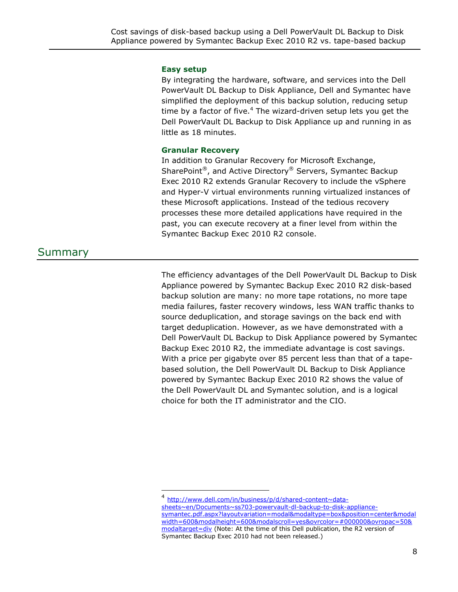#### **Easy setup**

By integrating the hardware, software, and services into the Dell PowerVault DL Backup to Disk Appliance, Dell and Symantec have simplified the deployment of this backup solution, reducing setup time by a factor of five. $4$  The wizard-driven setup lets you get the Dell PowerVault DL Backup to Disk Appliance up and running in as little as 18 minutes.

#### **Granular Recovery**

In addition to Granular Recovery for Microsoft Exchange, SharePoint®, and Active Directory® Servers, Symantec Backup Exec 2010 R2 extends Granular Recovery to include the vSphere and Hyper-V virtual environments running virtualized instances of these Microsoft applications. Instead of the tedious recovery processes these more detailed applications have required in the past, you can execute recovery at a finer level from within the Symantec Backup Exec 2010 R2 console.

# Summary

The efficiency advantages of the Dell PowerVault DL Backup to Disk Appliance powered by Symantec Backup Exec 2010 R2 disk-based backup solution are many: no more tape rotations, no more tape media failures, faster recovery windows, less WAN traffic thanks to source deduplication, and storage savings on the back end with target deduplication. However, as we have demonstrated with a Dell PowerVault DL Backup to Disk Appliance powered by Symantec Backup Exec 2010 R2, the immediate advantage is cost savings. With a price per gigabyte over 85 percent less than that of a tapebased solution, the Dell PowerVault DL Backup to Disk Appliance powered by Symantec Backup Exec 2010 R2 shows the value of the Dell PowerVault DL and Symantec solution, and is a logical choice for both the IT administrator and the CIO.

<sup>4</sup> [http://www.dell.com/in/business/p/d/shared-content~data](http://www.dell.com/in/business/p/d/shared-content~data-sheets~en/Documents~ss703-powervault-dl-backup-to-disk-appliance-symantec.pdf.aspx?layoutvariation=modal&modaltype=box&position=center&modalwidth=600&modalheight=600&modalscroll=yes&ovrcolor=#000000&ovropac=50&modaltarget=div)[sheets~en/Documents~ss703-powervault-dl-backup-to-disk-appliance](http://www.dell.com/in/business/p/d/shared-content~data-sheets~en/Documents~ss703-powervault-dl-backup-to-disk-appliance-symantec.pdf.aspx?layoutvariation=modal&modaltype=box&position=center&modalwidth=600&modalheight=600&modalscroll=yes&ovrcolor=#000000&ovropac=50&modaltarget=div)[symantec.pdf.aspx?layoutvariation=modal&modaltype=box&position=center&modal](http://www.dell.com/in/business/p/d/shared-content~data-sheets~en/Documents~ss703-powervault-dl-backup-to-disk-appliance-symantec.pdf.aspx?layoutvariation=modal&modaltype=box&position=center&modalwidth=600&modalheight=600&modalscroll=yes&ovrcolor=#000000&ovropac=50&modaltarget=div) [width=600&modalheight=600&modalscroll=yes&ovrcolor=#000000&ovropac=50&](http://www.dell.com/in/business/p/d/shared-content~data-sheets~en/Documents~ss703-powervault-dl-backup-to-disk-appliance-symantec.pdf.aspx?layoutvariation=modal&modaltype=box&position=center&modalwidth=600&modalheight=600&modalscroll=yes&ovrcolor=#000000&ovropac=50&modaltarget=div) [modaltarget=div](http://www.dell.com/in/business/p/d/shared-content~data-sheets~en/Documents~ss703-powervault-dl-backup-to-disk-appliance-symantec.pdf.aspx?layoutvariation=modal&modaltype=box&position=center&modalwidth=600&modalheight=600&modalscroll=yes&ovrcolor=#000000&ovropac=50&modaltarget=div) (Note: At the time of this Dell publication, the R2 version of Symantec Backup Exec 2010 had not been released.)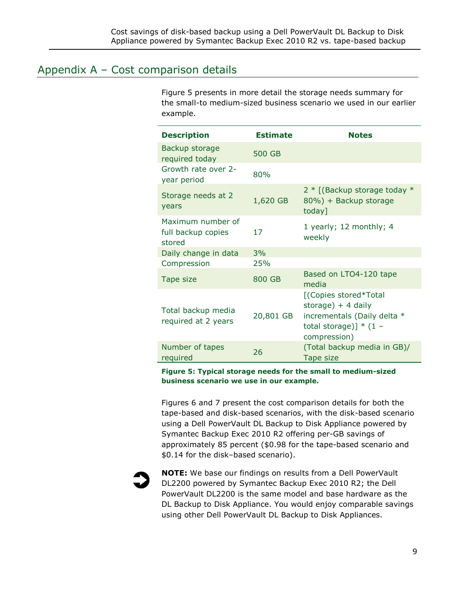## <span id="page-8-0"></span>Appendix A – Cost comparison details

Figure 5 presents in more detail the storage needs summary for the small-to medium-sized business scenario we used in our earlier example.

| <b>Description</b>                                | <b>Estimate</b> | <b>Notes</b>                                                                                                            |
|---------------------------------------------------|-----------------|-------------------------------------------------------------------------------------------------------------------------|
| Backup storage<br>required today                  | 500 GB          |                                                                                                                         |
| Growth rate over 2-<br>year period                | 80%             |                                                                                                                         |
| Storage needs at 2<br>years                       | 1,620 GB        | $2 *$ [(Backup storage today $*$<br>80%) + Backup storage<br>today]                                                     |
| Maximum number of<br>full backup copies<br>stored | 17              | 1 yearly; 12 monthly; 4<br>weekly                                                                                       |
| Daily change in data                              | 3%              |                                                                                                                         |
| Compression                                       | 25%             |                                                                                                                         |
| Tape size                                         | 800 GB          | Based on LTO4-120 tape<br>media                                                                                         |
| Total backup media<br>required at 2 years         | 20,801 GB       | [(Copies stored*Total<br>storage) $+4$ daily<br>incrementals (Daily delta *<br>total storage)] $*$ (1 -<br>compression) |
| Number of tapes<br>required                       | 26              | (Total backup media in GB)/<br>Tape size                                                                                |

**Figure 5: Typical storage needs for the small to medium-sized business scenario we use in our example.**

Figures 6 and 7 present the cost comparison details for both the tape-based and disk-based scenarios, with the disk-based scenario using a Dell PowerVault DL Backup to Disk Appliance powered by Symantec Backup Exec 2010 R2 offering per-GB savings of approximately 85 percent (\$0.98 for the tape-based scenario and \$0.14 for the disk–based scenario).



**NOTE:** We base our findings on results from a Dell PowerVault DL2200 powered by Symantec Backup Exec 2010 R2; the Dell PowerVault DL2200 is the same model and base hardware as the DL Backup to Disk Appliance. You would enjoy comparable savings using other Dell PowerVault DL Backup to Disk Appliances.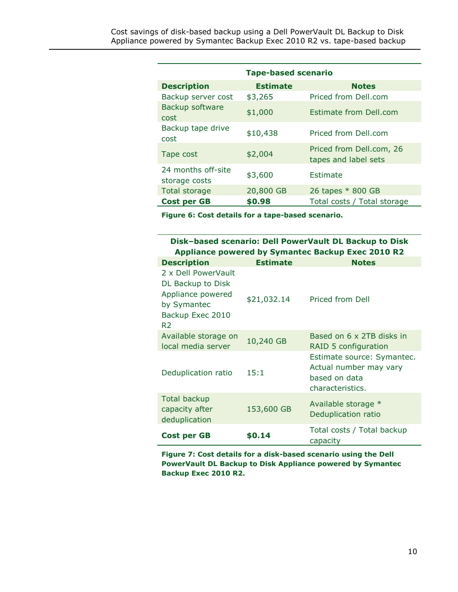| <b>Tape-based scenario</b>          |                 |                                                  |  |  |
|-------------------------------------|-----------------|--------------------------------------------------|--|--|
| <b>Description</b>                  | <b>Estimate</b> | <b>Notes</b>                                     |  |  |
| Backup server cost                  | \$3,265         | Priced from Dell.com                             |  |  |
| Backup software<br>cost             | \$1,000         | <b>Estimate from Dell.com</b>                    |  |  |
| Backup tape drive<br>cost           | \$10,438        | Priced from Dell.com                             |  |  |
| Tape cost                           | \$2,004         | Priced from Dell.com, 26<br>tapes and label sets |  |  |
| 24 months off-site<br>storage costs | \$3,600         | Estimate                                         |  |  |
| Total storage                       | 20,800 GB       | 26 tapes * 800 GB                                |  |  |
| Cost per GB                         | \$0.98          | Total costs / Total storage                      |  |  |

**Figure 6: Cost details for a tape-based scenario.**

### **Disk–based scenario: Dell PowerVault DL Backup to Disk Appliance powered by Symantec Backup Exec 2010 R2**

| <b>Description</b>                                                                                                 | <b>Estimate</b> | <b>Notes</b>                                                                              |
|--------------------------------------------------------------------------------------------------------------------|-----------------|-------------------------------------------------------------------------------------------|
| 2 x Dell PowerVault<br>DL Backup to Disk<br>Appliance powered<br>by Symantec<br>Backup Exec 2010<br>R <sub>2</sub> | \$21,032.14     | Priced from Dell                                                                          |
| Available storage on<br>local media server                                                                         | 10,240 GB       | Based on 6 x 2TB disks in<br>RAID 5 configuration                                         |
| Deduplication ratio                                                                                                | 15:1            | Estimate source: Symantec.<br>Actual number may vary<br>based on data<br>characteristics. |
| <b>Total backup</b><br>capacity after<br>deduplication                                                             | 153,600 GB      | Available storage *<br>Deduplication ratio                                                |
| <b>Cost per GB</b>                                                                                                 | \$0.14          | Total costs / Total backup<br>capacity                                                    |

**Figure 7: Cost details for a disk-based scenario using the Dell PowerVault DL Backup to Disk Appliance powered by Symantec Backup Exec 2010 R2.**